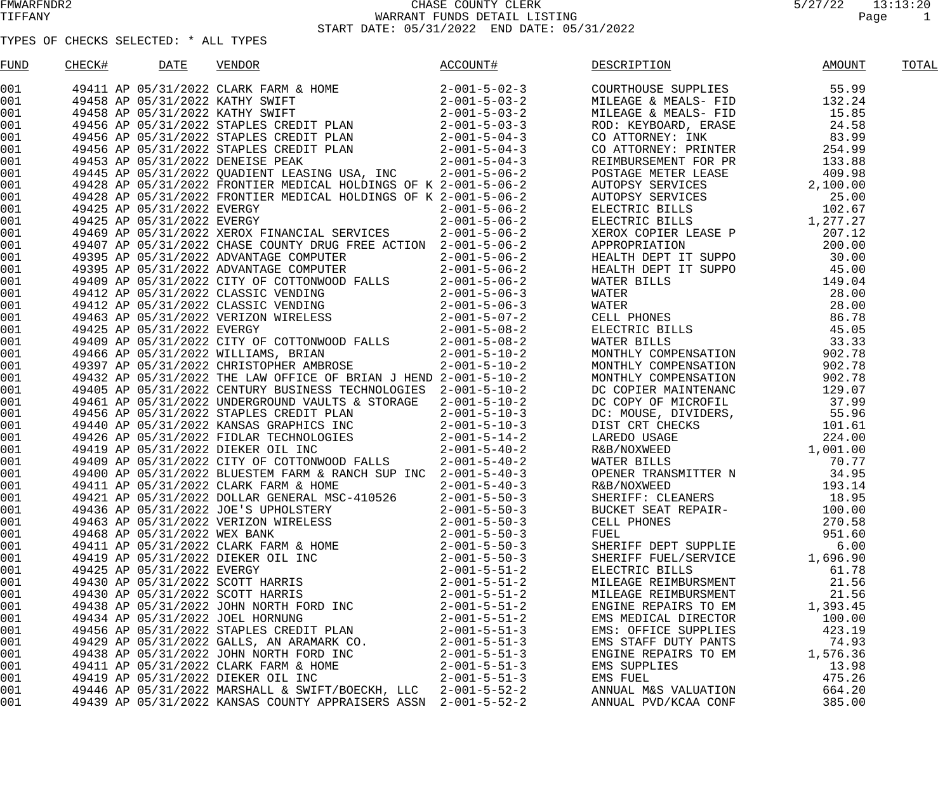| FUND       | CHECK# | DATE                         | VENDOR                                                         | ACCOUNT#               | DESCRIPTION          | AMOUNT   | TOTAL |
|------------|--------|------------------------------|----------------------------------------------------------------|------------------------|----------------------|----------|-------|
| 001 000    |        |                              |                                                                |                        |                      |          |       |
| 001        |        |                              |                                                                |                        |                      |          |       |
| 001        |        |                              |                                                                |                        |                      |          |       |
| 001        |        |                              |                                                                |                        |                      |          |       |
| 001        |        |                              |                                                                |                        |                      |          |       |
| 001        |        |                              |                                                                |                        |                      |          |       |
| 001        |        |                              |                                                                |                        |                      |          |       |
| 001        |        |                              |                                                                |                        |                      |          |       |
| 001        |        |                              |                                                                |                        |                      |          |       |
| 001        |        |                              |                                                                |                        |                      |          |       |
| 001        |        |                              |                                                                |                        |                      |          |       |
| 001        |        |                              |                                                                |                        |                      |          |       |
| 001        |        |                              |                                                                |                        |                      |          |       |
| 001        |        |                              |                                                                |                        |                      |          |       |
| 001        |        |                              |                                                                |                        |                      |          |       |
| 001        |        |                              |                                                                |                        |                      |          |       |
| 001        |        |                              |                                                                |                        |                      |          |       |
| 001        |        |                              |                                                                |                        |                      |          |       |
| 001        |        |                              |                                                                |                        |                      |          |       |
| 001        |        |                              |                                                                |                        |                      |          |       |
| 001        |        |                              |                                                                |                        |                      |          |       |
| 001        |        |                              |                                                                |                        |                      |          |       |
| 001        |        |                              |                                                                |                        |                      |          |       |
| 001        |        |                              |                                                                |                        |                      |          |       |
| 001        |        |                              |                                                                |                        |                      |          |       |
| 001        |        |                              |                                                                |                        |                      |          |       |
| 001        |        |                              |                                                                |                        |                      |          |       |
| 001        |        |                              |                                                                |                        |                      |          |       |
| 001        |        |                              |                                                                |                        |                      |          |       |
| 001<br>001 |        |                              |                                                                |                        |                      |          |       |
| 001        |        |                              |                                                                |                        |                      |          |       |
| 001        |        |                              |                                                                |                        |                      |          |       |
| 001        |        |                              |                                                                |                        |                      |          |       |
| 001        |        |                              |                                                                |                        |                      |          |       |
| 001        |        |                              |                                                                |                        |                      |          |       |
| 001        |        |                              | 49463 AP 05/31/2022 VERIZON WIRELESS                           | $2 - 001 - 5 - 50 - 3$ | CELL PHONES          | 270.58   |       |
| 001        |        | 49468 AP 05/31/2022 WEX BANK |                                                                | $2 - 001 - 5 - 50 - 3$ | FUEL                 | 951.60   |       |
| 001        |        |                              | 49411 AP 05/31/2022 CLARK FARM & HOME                          | $2 - 001 - 5 - 50 - 3$ | SHERIFF DEPT SUPPLIE | 6.00     |       |
| 001        |        |                              | 49419 AP 05/31/2022 DIEKER OIL INC                             | $2 - 001 - 5 - 50 - 3$ | SHERIFF FUEL/SERVICE | 1,696.90 |       |
| 001        |        | 49425 AP 05/31/2022 EVERGY   |                                                                | 2-001-5-51-2           | ELECTRIC BILLS       | 61.78    |       |
| 001        |        |                              | 49430 AP 05/31/2022 SCOTT HARRIS                               | $2 - 001 - 5 - 51 - 2$ | MILEAGE REIMBURSMENT | 21.56    |       |
| 001        |        |                              | 49430 AP 05/31/2022 SCOTT HARRIS                               | 2-001-5-51-2           | MILEAGE REIMBURSMENT | 21.56    |       |
| 001        |        |                              | 49438 AP 05/31/2022 JOHN NORTH FORD INC                        | $2 - 001 - 5 - 51 - 2$ | ENGINE REPAIRS TO EM | 1,393.45 |       |
| 001        |        |                              | 49434 AP 05/31/2022 JOEL HORNUNG                               | $2 - 001 - 5 - 51 - 2$ | EMS MEDICAL DIRECTOR | 100.00   |       |
| 001        |        |                              | 49456 AP 05/31/2022 STAPLES CREDIT PLAN                        | $2 - 001 - 5 - 51 - 3$ | EMS: OFFICE SUPPLIES | 423.19   |       |
| 001        |        |                              | 49429 AP 05/31/2022 GALLS, AN ARAMARK CO.                      | $2 - 001 - 5 - 51 - 3$ | EMS STAFF DUTY PANTS | 74.93    |       |
| 001        |        |                              | 49438 AP 05/31/2022 JOHN NORTH FORD INC                        | $2 - 001 - 5 - 51 - 3$ | ENGINE REPAIRS TO EM | 1,576.36 |       |
| 001        |        |                              | 49411 AP 05/31/2022 CLARK FARM & HOME                          | $2 - 001 - 5 - 51 - 3$ | EMS SUPPLIES         | 13.98    |       |
| 001        |        |                              | 49419 AP 05/31/2022 DIEKER OIL INC                             | $2 - 001 - 5 - 51 - 3$ | EMS FUEL             | 475.26   |       |
| 001        |        |                              | 49446 AP 05/31/2022 MARSHALL & SWIFT/BOECKH, LLC 2-001-5-52-2  |                        | ANNUAL M&S VALUATION | 664.20   |       |
| 001        |        |                              | 49439 AP 05/31/2022 KANSAS COUNTY APPRAISERS ASSN 2-001-5-52-2 |                        | ANNUAL PVD/KCAA CONF | 385.00   |       |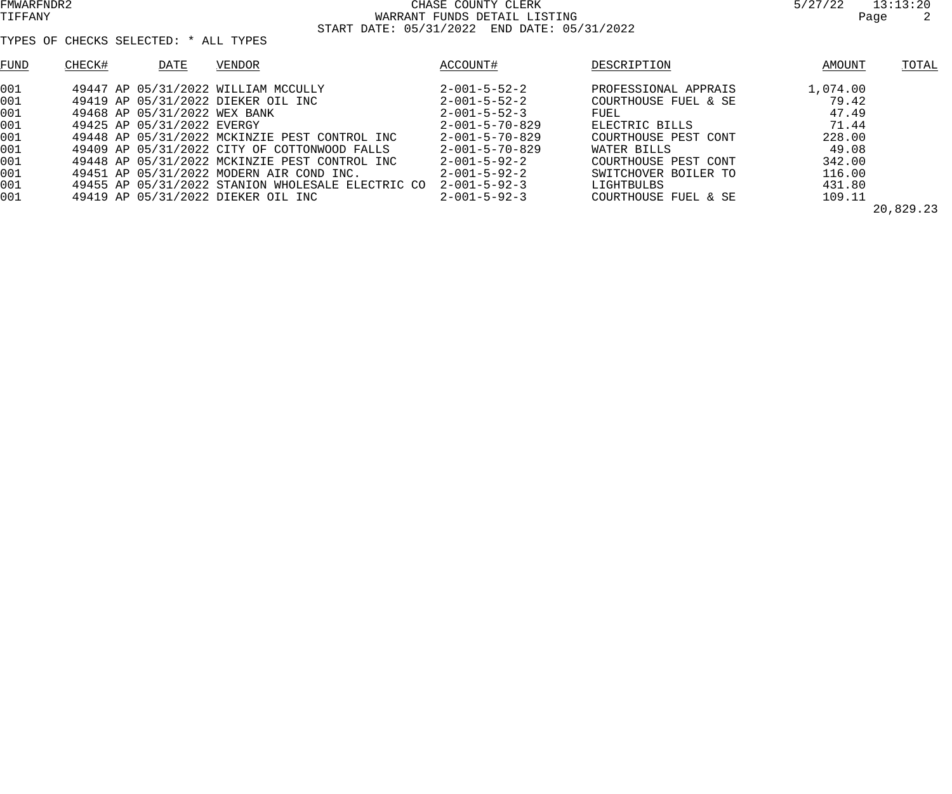| 9747744 |      | エン・エン・ムロ |
|---------|------|----------|
|         | Page | 2        |

| FUND | CHECK#                       | DATE | VENDOR                                            | ACCOUNT#                 | DESCRIPTION          | AMOUNT   | TOTAL     |
|------|------------------------------|------|---------------------------------------------------|--------------------------|----------------------|----------|-----------|
| 001  |                              |      | 49447 AP 05/31/2022 WILLIAM MCCULLY               | $2 - 001 - 5 - 52 - 2$   | PROFESSIONAL APPRAIS | 1,074.00 |           |
| 001  |                              |      | 49419 AP 05/31/2022 DIEKER OIL INC                | $2 - 001 - 5 - 52 - 2$   | COURTHOUSE FUEL & SE | 79.42    |           |
| 001  | 49468 AP 05/31/2022 WEX BANK |      |                                                   | $2 - 001 - 5 - 52 - 3$   | FUEL                 | 47.49    |           |
| 001  | 49425 AP 05/31/2022 EVERGY   |      |                                                   | $2 - 001 - 5 - 70 - 829$ | ELECTRIC BILLS       | 71.44    |           |
| 001  |                              |      | 49448 AP 05/31/2022 MCKINZIE PEST CONTROL INC     | $2 - 001 - 5 - 70 - 829$ | COURTHOUSE PEST CONT | 228.00   |           |
| 001  |                              |      | 49409 AP 05/31/2022 CITY OF COTTONWOOD FALLS      | $2 - 001 - 5 - 70 - 829$ | WATER BILLS          | 49.08    |           |
| 001  |                              |      | 49448 AP 05/31/2022 MCKINZIE PEST CONTROL INC     | $2 - 001 - 5 - 92 - 2$   | COURTHOUSE PEST CONT | 342.00   |           |
| 001  |                              |      | 49451 AP 05/31/2022 MODERN AIR COND INC.          | $2 - 001 - 5 - 92 - 2$   | SWITCHOVER BOILER TO | 116.00   |           |
| 001  |                              |      | 49455 AP 05/31/2022 STANION WHOLESALE ELECTRIC CO | $2 - 001 - 5 - 92 - 3$   | LIGHTBULBS           | 431.80   |           |
| 001  |                              |      | 49419 AP 05/31/2022 DIEKER OIL INC                | $2 - 001 - 5 - 92 - 3$   | COURTHOUSE FUEL & SE | 109.11   |           |
|      |                              |      |                                                   |                          |                      |          | 20,829.23 |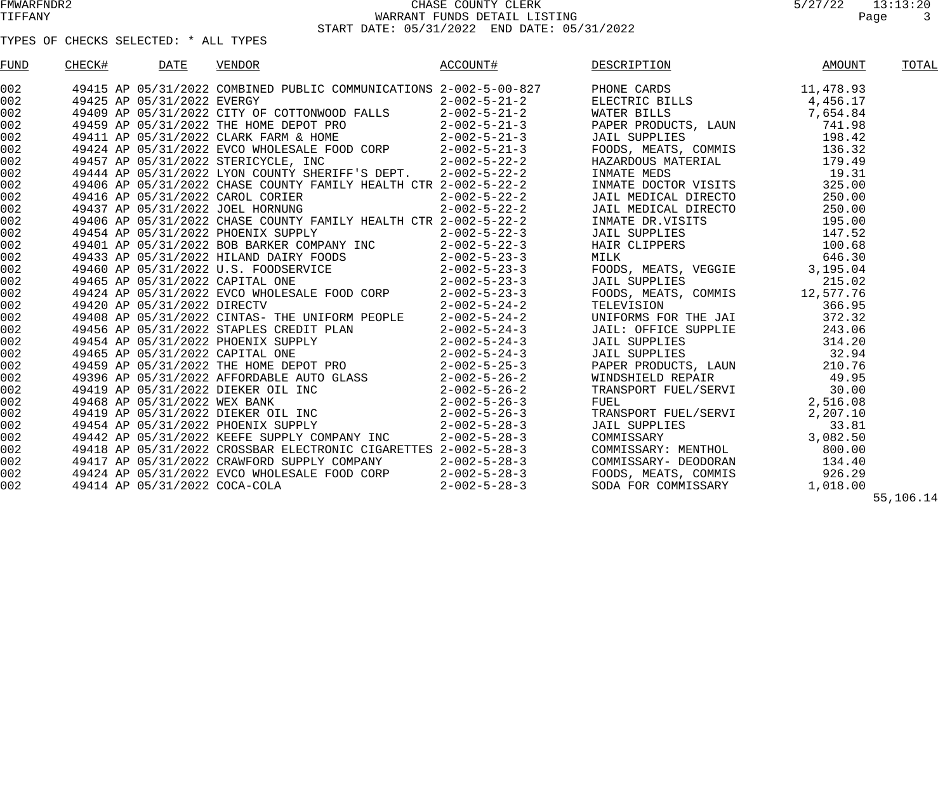| FUND | CHECK# | <b>DATE</b> | <b>VENDOR</b> | ACCOUNT# | DESCRIPTION | AMOUNT | TOTAL     |
|------|--------|-------------|---------------|----------|-------------|--------|-----------|
| 002  |        |             |               |          |             |        |           |
| 002  |        |             |               |          |             |        |           |
| 002  |        |             |               |          |             |        |           |
| 002  |        |             |               |          |             |        |           |
| 002  |        |             |               |          |             |        |           |
| 002  |        |             |               |          |             |        |           |
| 002  |        |             |               |          |             |        |           |
| 002  |        |             |               |          |             |        |           |
| 002  |        |             |               |          |             |        |           |
| 002  |        |             |               |          |             |        |           |
| 002  |        |             |               |          |             |        |           |
| 002  |        |             |               |          |             |        |           |
| 002  |        |             |               |          |             |        |           |
| 002  |        |             |               |          |             |        |           |
| 002  |        |             |               |          |             |        |           |
| 002  |        |             |               |          |             |        |           |
| 002  |        |             |               |          |             |        |           |
| 002  |        |             |               |          |             |        |           |
| 002  |        |             |               |          |             |        |           |
| 002  |        |             |               |          |             |        |           |
| 002  |        |             |               |          |             |        |           |
| 002  |        |             |               |          |             |        |           |
| 002  |        |             |               |          |             |        |           |
| 002  |        |             |               |          |             |        |           |
| 002  |        |             |               |          |             |        |           |
| 002  |        |             |               |          |             |        |           |
| 002  |        |             |               |          |             |        |           |
| 002  |        |             |               |          |             |        |           |
| 002  |        |             |               |          |             |        |           |
| 002  |        |             |               |          |             |        |           |
| 002  |        |             |               |          |             |        |           |
| 002  |        |             |               |          |             |        |           |
| 002  |        |             |               |          |             |        |           |
| 002  |        |             |               |          |             |        |           |
|      |        |             |               |          |             |        | 55,106.14 |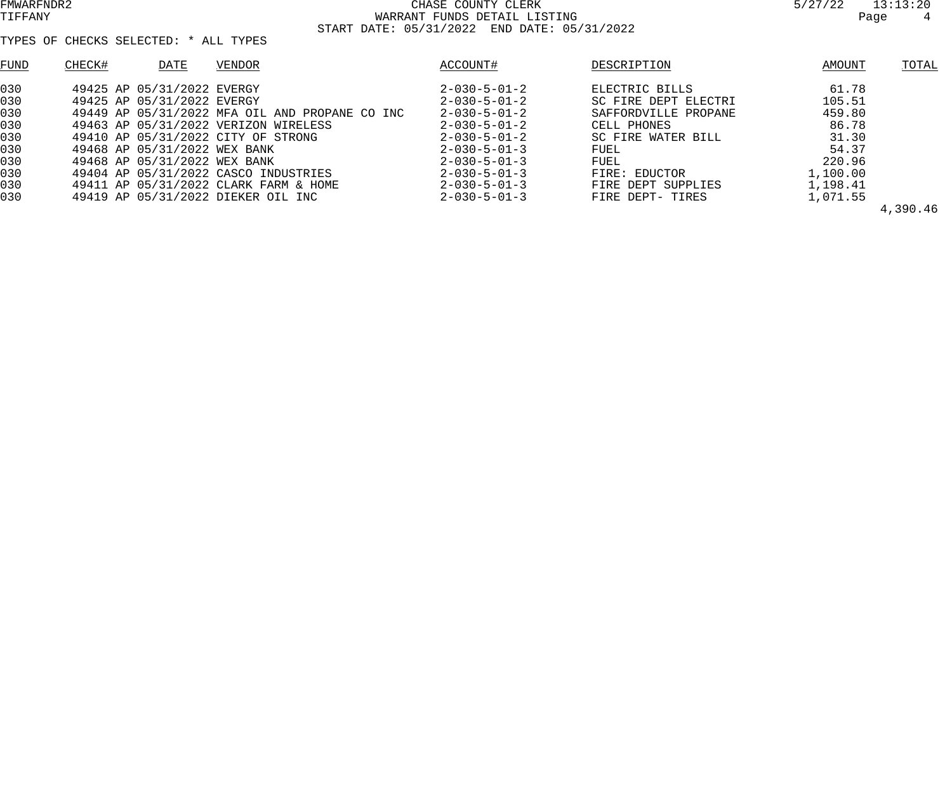| FUND | CHECK#<br>DATE               | VENDOR                                         | ACCOUNT#               | DESCRIPTION          | AMOUNT   | TOTAL    |
|------|------------------------------|------------------------------------------------|------------------------|----------------------|----------|----------|
| 030  | 49425 AP 05/31/2022 EVERGY   |                                                | $2 - 030 - 5 - 01 - 2$ | ELECTRIC BILLS       | 61.78    |          |
| 030  | 49425 AP 05/31/2022 EVERGY   |                                                | $2 - 030 - 5 - 01 - 2$ | SC FIRE DEPT ELECTRI | 105.51   |          |
| 030  |                              | 49449 AP 05/31/2022 MFA OIL AND PROPANE CO INC | $2 - 030 - 5 - 01 - 2$ | SAFFORDVILLE PROPANE | 459.80   |          |
| 030  |                              | 49463 AP 05/31/2022 VERIZON WIRELESS           | $2 - 030 - 5 - 01 - 2$ | CELL PHONES          | 86.78    |          |
| 030  |                              | 49410 AP 05/31/2022 CITY OF STRONG             | $2 - 030 - 5 - 01 - 2$ | SC FIRE WATER BILL   | 31.30    |          |
| 030  | 49468 AP 05/31/2022 WEX BANK |                                                | $2 - 030 - 5 - 01 - 3$ | FUEL                 | 54.37    |          |
| 030  | 49468 AP 05/31/2022 WEX BANK |                                                | $2 - 030 - 5 - 01 - 3$ | FUEL                 | 220.96   |          |
| 030  |                              | 49404 AP 05/31/2022 CASCO INDUSTRIES           | $2 - 030 - 5 - 01 - 3$ | FIRE: EDUCTOR        | 1,100.00 |          |
| 030  |                              | 49411 AP 05/31/2022 CLARK FARM & HOME          | $2 - 030 - 5 - 01 - 3$ | FIRE DEPT SUPPLIES   | 1,198.41 |          |
| 030  |                              | 49419 AP 05/31/2022 DIEKER OIL INC             | $2 - 030 - 5 - 01 - 3$ | FIRE DEPT- TIRES     | 1,071.55 |          |
|      |                              |                                                |                        |                      |          | 4,390.46 |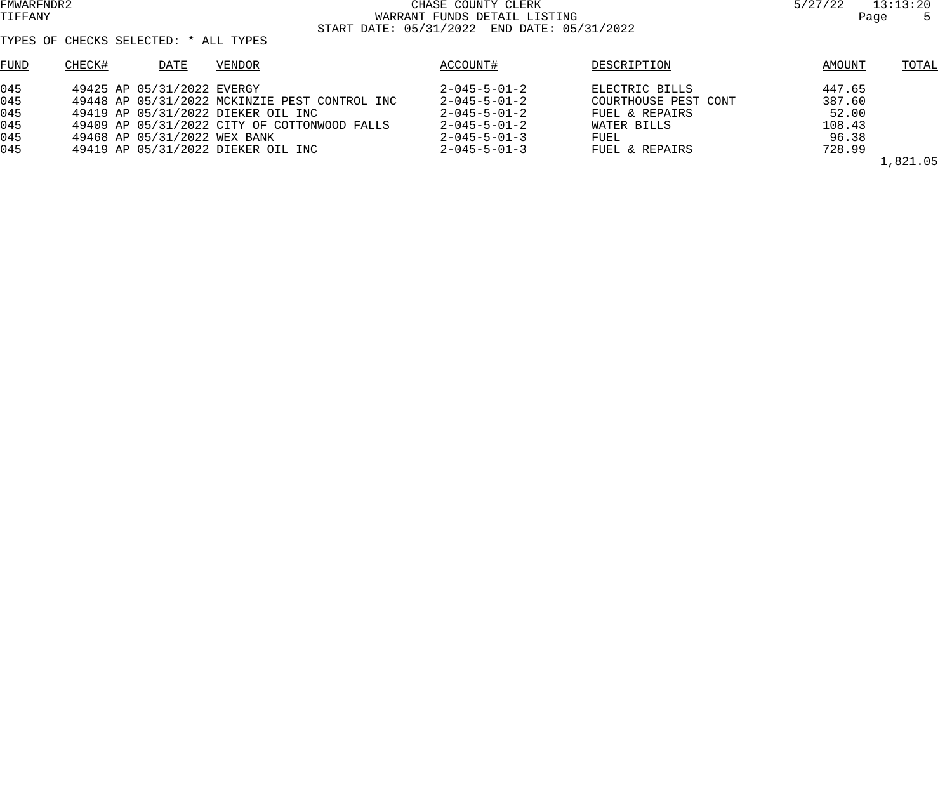TYPES OF CHECKS SELECTED: \* ALL TYPES

| FUND | CHECK#<br>DATE                     | VENDOR                                        | ACCOUNT#               | DESCRIPTION          | AMOUNT | TOTAL |
|------|------------------------------------|-----------------------------------------------|------------------------|----------------------|--------|-------|
| 045  | 49425 AP 05/31/2022 EVERGY         |                                               | $2 - 045 - 5 - 01 - 2$ | ELECTRIC BILLS       | 447.65 |       |
| 045  |                                    | 49448 AP 05/31/2022 MCKINZIE PEST CONTROL INC | $2 - 045 - 5 - 01 - 2$ | COURTHOUSE PEST CONT | 387.60 |       |
| 045  | 49419 AP 05/31/2022 DIEKER OIL INC |                                               | $2 - 045 - 5 - 01 - 2$ | FUEL & REPAIRS       | 52.00  |       |
| 045  |                                    | 49409 AP 05/31/2022 CITY OF COTTONWOOD FALLS  | $2 - 045 - 5 - 01 - 2$ | WATER BILLS          | 108.43 |       |
| 045  | 49468 AP 05/31/2022 WEX BANK       |                                               | $2 - 045 - 5 - 01 - 3$ | FUEL                 | 96.38  |       |
| 045  | 49419 AP 05/31/2022 DIEKER OIL INC |                                               | $2 - 045 - 5 - 01 - 3$ | FUEL & REPAIRS       | 728.99 |       |

1,821.05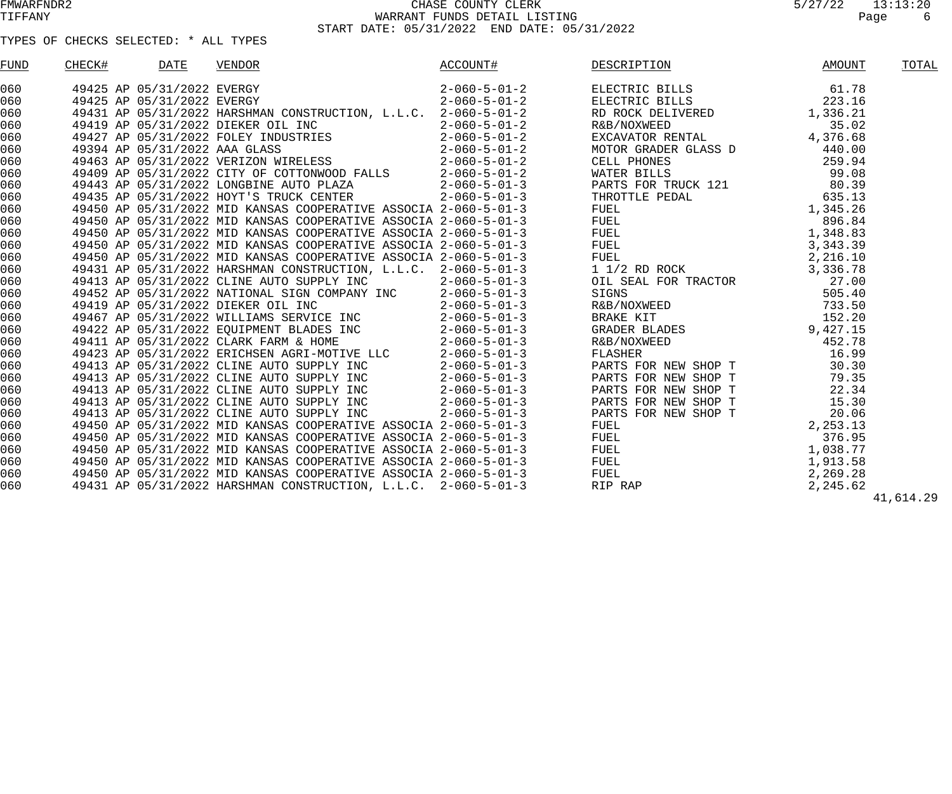| FUND | CHECK# | <b>DATE</b>                | <b>VENDOR</b>                                                                                                                                                                                                                                                              | ACCOUNT# | DESCRIPTION                                                               | <b>AMOUNT</b> | TOTAL     |
|------|--------|----------------------------|----------------------------------------------------------------------------------------------------------------------------------------------------------------------------------------------------------------------------------------------------------------------------|----------|---------------------------------------------------------------------------|---------------|-----------|
| 060  |        | 49425 AP 05/31/2022 EVERGY |                                                                                                                                                                                                                                                                            |          | $2-060-5-01-2$ ELECTRIC BILLS 61.78<br>2-060-5-01-2 ELECTRIC BILLS 223.16 |               |           |
| 060  |        | 49425 AP 05/31/2022 EVERGY |                                                                                                                                                                                                                                                                            |          |                                                                           |               |           |
| 060  |        |                            |                                                                                                                                                                                                                                                                            |          |                                                                           |               |           |
| 060  |        |                            |                                                                                                                                                                                                                                                                            |          |                                                                           |               |           |
| 060  |        |                            |                                                                                                                                                                                                                                                                            |          |                                                                           |               |           |
| 060  |        |                            |                                                                                                                                                                                                                                                                            |          |                                                                           |               |           |
| 060  |        |                            |                                                                                                                                                                                                                                                                            |          |                                                                           |               |           |
| 060  |        |                            |                                                                                                                                                                                                                                                                            |          |                                                                           |               |           |
| 060  |        |                            |                                                                                                                                                                                                                                                                            |          |                                                                           |               |           |
| 060  |        |                            |                                                                                                                                                                                                                                                                            |          |                                                                           |               |           |
| 060  |        |                            |                                                                                                                                                                                                                                                                            |          |                                                                           |               |           |
| 060  |        |                            |                                                                                                                                                                                                                                                                            |          |                                                                           |               |           |
| 060  |        |                            |                                                                                                                                                                                                                                                                            |          |                                                                           |               |           |
| 060  |        |                            |                                                                                                                                                                                                                                                                            |          |                                                                           |               |           |
| 060  |        |                            |                                                                                                                                                                                                                                                                            |          |                                                                           |               |           |
| 060  |        |                            |                                                                                                                                                                                                                                                                            |          |                                                                           |               |           |
| 060  |        |                            |                                                                                                                                                                                                                                                                            |          |                                                                           |               |           |
| 060  |        |                            |                                                                                                                                                                                                                                                                            |          |                                                                           |               |           |
| 060  |        |                            |                                                                                                                                                                                                                                                                            |          |                                                                           |               |           |
| 060  |        |                            |                                                                                                                                                                                                                                                                            |          |                                                                           |               |           |
| 060  |        |                            |                                                                                                                                                                                                                                                                            |          |                                                                           |               |           |
| 060  |        |                            |                                                                                                                                                                                                                                                                            |          |                                                                           |               |           |
| 060  |        |                            |                                                                                                                                                                                                                                                                            |          |                                                                           |               |           |
| 060  |        |                            |                                                                                                                                                                                                                                                                            |          |                                                                           |               |           |
| 060  |        |                            |                                                                                                                                                                                                                                                                            |          |                                                                           |               |           |
| 060  |        |                            |                                                                                                                                                                                                                                                                            |          |                                                                           |               |           |
| 060  |        |                            |                                                                                                                                                                                                                                                                            |          |                                                                           |               |           |
| 060  |        |                            |                                                                                                                                                                                                                                                                            |          |                                                                           |               |           |
| 060  |        |                            |                                                                                                                                                                                                                                                                            |          |                                                                           |               |           |
| 060  |        |                            |                                                                                                                                                                                                                                                                            |          |                                                                           |               |           |
| 060  |        |                            |                                                                                                                                                                                                                                                                            |          |                                                                           |               |           |
| 060  |        |                            | 49425 ap 05/31/2022 areas (2000) $\frac{1}{2-100}$ and $\frac{1}{2-100}$ and $\frac{1}{2-100}$ and $\frac{1}{2-100}$ and $\frac{1}{2-100}$ and $\frac{1}{2-100}$ and $\frac{1}{2-100}$ and $\frac{1}{2-100}$ and $\frac{1}{2-100}$ and $\frac{1}{2-100}$ and $\frac{1}{2-$ |          |                                                                           |               |           |
| 060  |        |                            |                                                                                                                                                                                                                                                                            |          |                                                                           |               |           |
| 060  |        |                            |                                                                                                                                                                                                                                                                            |          |                                                                           |               |           |
|      |        |                            |                                                                                                                                                                                                                                                                            |          |                                                                           |               | 41,614.29 |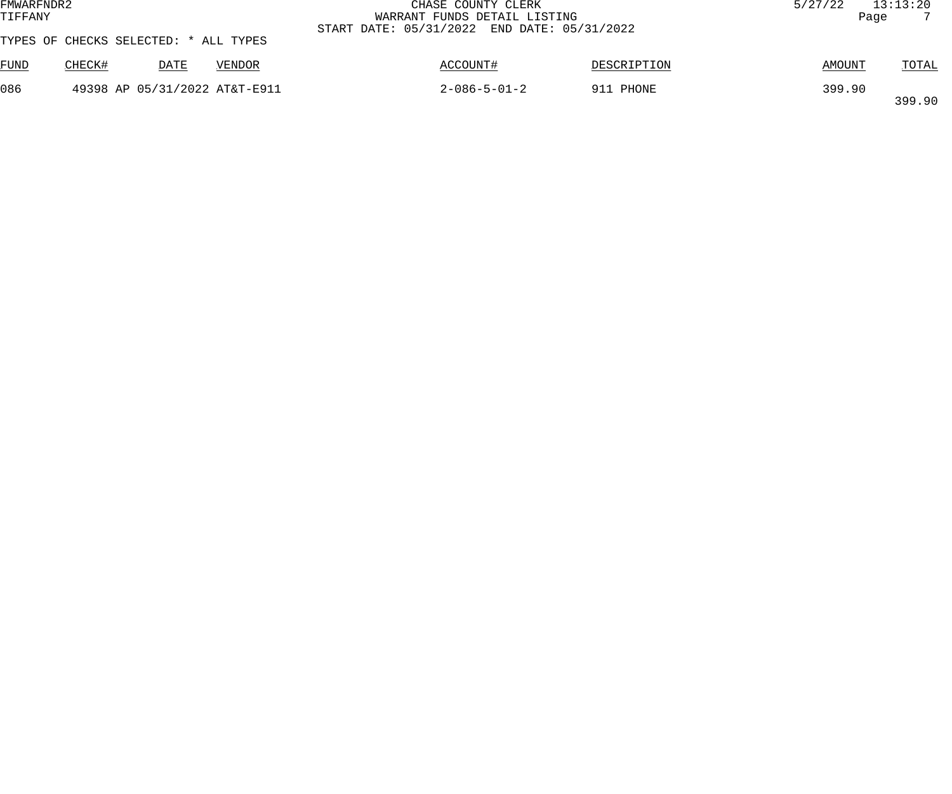| FMWARFNDR2<br>TIFFANY |                                       |      |                               | CHASE COUNTY CLERK<br>WARRANT FUNDS DETAIL LISTING<br>START DATE: 05/31/2022 END DATE: 05/31/2022 |             | 5/27/22 | 13:13:20<br>Page |
|-----------------------|---------------------------------------|------|-------------------------------|---------------------------------------------------------------------------------------------------|-------------|---------|------------------|
|                       | TYPES OF CHECKS SELECTED: * ALL TYPES |      |                               |                                                                                                   |             |         |                  |
| FUND                  | CHECK#                                | DATE | VENDOR                        | ACCOUNT#                                                                                          | DESCRIPTION | AMOUNT  | <b>TOTAL</b>     |
| 086                   |                                       |      | 49398 AP 05/31/2022 AT&T-E911 | $2 - 086 - 5 - 01 - 2$                                                                            | 911 PHONE   | 399.90  | 399.90           |